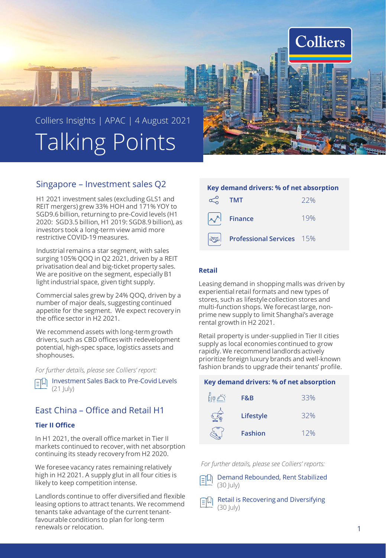

# Singapore – Investment sales Q2

H1 2021 investment sales (excluding GLS1 and REIT mergers) grew 33% HOH and 171% YOY to SGD9.6 billion, returning to pre-Covid levels (H1 2020: SGD3.5 billion, H1 2019: SGD8.9 billion), as investors took a long-term view amid more restrictive COVID-19 measures.

Industrial remains a star segment, with sales surging 105% QOQ in Q2 2021, driven by a REIT privatisation deal and big-ticket property sales. We are positive on the segment, especially B1 light industrial space, given tight supply.

Commercial sales grew by 24% QOQ, driven by a number of major deals, suggesting continued appetite for the segment. We expect recovery in the office sector in H2 2021.

We recommend assets with long-term growth drivers, such as CBD offices with redevelopment potential, high-spec space, logistics assets and shophouses.

*For further details, please see Colliers' report:*

**IN [Investment Sales Back to Pre-Covid](https://www.colliers.com/en-sg/research/2021-q2-singapore-investment-sales-quarterly-report-colliers) Levels**  $(21$  July)

# East China – Office and Retail H1

## **Tier II Office**

In H1 2021, the overall office market in Tier II markets continued to recover, with net absorption continuing its steady recovery from H2 2020.

We foresee vacancy rates remaining relatively high in H2 2021. A supply glut in all four cities is likely to keep competition intense.

Landlords continue to offer diversified and flexible leasing options to attract tenants. We recommend tenants take advantage of the current tenantfavourable conditions to plan for long-term renewals or relocation.

| Key demand drivers: % of net absorption |                                         |     |  |
|-----------------------------------------|-----------------------------------------|-----|--|
|                                         | <b>TMT</b>                              | 22% |  |
|                                         | $\sim$ <sup>A</sup> Finance             | 19% |  |
|                                         | $\mathcal{D}$ Professional Services 15% |     |  |

## **Retail**

Leasing demand in shopping malls was driven by experiential retail formats and new types of stores, such as lifestyle collection stores and multi-function shops. We forecast large, nonprime new supply to limit Shanghai's average rental growth in H2 2021.

Retail property is under-supplied in Tier II cities supply as local economies continued to grow rapidly. We recommend landlords actively prioritize foreign luxury brands and well-known fashion brands to upgrade their tenants' profile.

### **Key demand drivers: % of net absorption**

| F&B            | 33% |
|----------------|-----|
| Lifestyle      | 32% |
| <b>Fashion</b> | 12% |

*For further details, please see Colliers' reports:*



[Retail is Recovering and Diversifying](https://www.colliers.com/en-cn/research/east-research-en)   $(30 \text{ |uly})$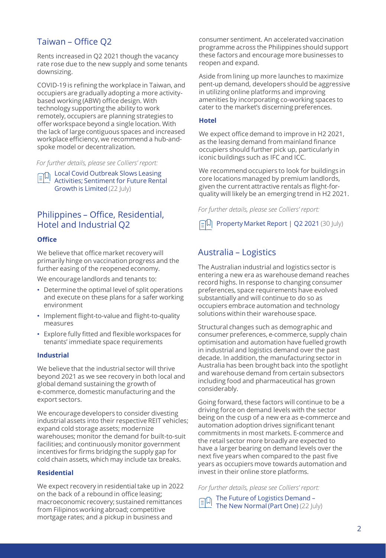# Taiwan – Office Q2

Rents increased in Q2 2021 though the vacancy rate rose due to the new supply and some tenants downsizing.

COVID-19 is refining the workplace in Taiwan, and occupiers are gradually adopting a more activitybased working (ABW) office design. With technology supporting the ability to work remotely, occupiers are planning strategies to offer workspace beyond a single location. With the lack of large contiguous spaces and increased workplace efficiency, we recommend a hub-andspoke model or decentralization.

*For further details, please see Colliers' report:*

**Local Covid Outbreak Slows Leasing** [Activities; Sentiment for Future Rental](https://www.colliers.com/en-tw/research/2q-2021-taiwan-office)  Growth is Limited (22 July)

# Philippines – Office, Residential, Hotel and Industrial Q2

## **Office**

We believe that office market recovery will primarily hinge on vaccination progress and the further easing of the reopened economy.

We encourage landlords and tenants to:

- Determine the optimal level of split operations and execute on these plans for a safer working environment
- Implement flight-to-value and flight-to-quality measures
- Explore fully fitted and flexible workspaces for tenants' immediate space requirements

### **Industrial**

We believe that the industrial sector will thrive beyond 2021 as we see recovery in both local and global demand sustaining the growth of e-commerce, domestic manufacturing and the export sectors.

We encourage developers to consider divesting industrial assets into their respective REIT vehicles; expand cold storage assets; modernize warehouses; monitor the demand for built-to-suit facilities; and continuously monitor government incentives for firms bridging the supply gap for cold chain assets, which may include tax breaks.

## **Residential**

We expect recovery in residential take up in 2022 on the back of a rebound in office leasing; macroeconomic recovery; sustained remittances from Filipinos working abroad; competitive mortgage rates; and a pickup in business and

consumer sentiment. An accelerated vaccination programme across the Philippines should support these factors and encourage more businesses to reopen and expand.

Aside from lining up more launches to maximize pent-up demand, developers should be aggressive in utilizing online platforms and improving amenities by incorporating co-working spaces to cater to the market's discerning preferences.

### **Hotel**

We expect office demand to improve in H2 2021, as the leasing demand from mainland finance occupiers should further pick up, particularly in iconic buildings such as IFC and ICC.

We recommend occupiers to look for buildings in core locations managed by premium landlords, given the current attractive rentals as flight-forquality will likely be an emerging trend in H2 2021.

*For further details, please see Colliers' report:*

[Property Market Report | Q2 2021](https://www.colliers.com/en-ph/research/colliers-quarterly-property-market-report-q2-2021-philippines) (30 July)

# Australia – Logistics

The Australian industrial and logistics sector is entering a new era as warehouse demand reaches record highs. In response to changing consumer preferences, space requirements have evolved substantially and will continue to do so as occupiers embrace automation and technology solutions within their warehouse space.

Structural changes such as demographic and consumer preferences, e-commerce, supply chain optimisation and automation have fuelled growth in industrial and logistics demand over the past decade. In addition, the manufacturing sector in Australia has been brought back into the spotlight and warehouse demand from certain subsectors including food and pharmaceutical has grown considerably.

Going forward, these factors will continue to be a driving force on demand levels with the sector being on the cusp of a new era as e-commerce and automation adoption drives significant tenant commitments in most markets. E-commerce and the retail sector more broadly are expected to have a larger bearing on demand levels over the next five years when compared to the past five years as occupiers move towards automation and invest in their online store platforms.

*For further details, please see Colliers' report:*

[The Future of Logistics Demand](https://www.colliers.com.au/en-au/research/the-new-normal-the-future-of-logistics-demand) – 印 The New Normal (Part One) (22 July)